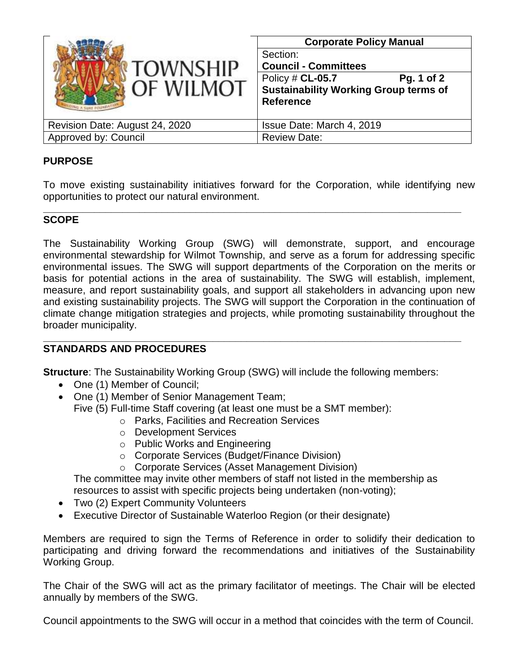| <b>TOWNSHIP</b>                | <b>Corporate Policy Manual</b>                                                                     |
|--------------------------------|----------------------------------------------------------------------------------------------------|
|                                | Section:<br><b>Council - Committees</b>                                                            |
| OF WILMOT                      | Policy # CL-05.7<br>Pg. 1 of 2<br><b>Sustainability Working Group terms of</b><br><b>Reference</b> |
| Revision Date: August 24, 2020 | Issue Date: March 4, 2019                                                                          |
| Approved by: Council           | <b>Review Date:</b>                                                                                |

## **PURPOSE**

To move existing sustainability initiatives forward for the Corporation, while identifying new opportunities to protect our natural environment.

## **\_\_\_\_\_\_\_\_\_\_\_\_\_\_\_\_\_\_\_\_\_\_\_\_\_\_\_\_\_\_\_\_\_\_\_\_\_\_\_\_\_\_\_\_\_\_\_\_\_\_\_\_\_\_\_\_\_\_\_\_\_\_\_\_\_\_\_\_\_\_\_\_\_\_ SCOPE**

The Sustainability Working Group (SWG) will demonstrate, support, and encourage environmental stewardship for Wilmot Township, and serve as a forum for addressing specific environmental issues. The SWG will support departments of the Corporation on the merits or basis for potential actions in the area of sustainability. The SWG will establish, implement, measure, and report sustainability goals, and support all stakeholders in advancing upon new and existing sustainability projects. The SWG will support the Corporation in the continuation of climate change mitigation strategies and projects, while promoting sustainability throughout the broader municipality.

## **STANDARDS AND PROCEDURES**

**Structure:** The Sustainability Working Group (SWG) will include the following members:

**\_\_\_\_\_\_\_\_\_\_\_\_\_\_\_\_\_\_\_\_\_\_\_\_\_\_\_\_\_\_\_\_\_\_\_\_\_\_\_\_\_\_\_\_\_\_\_\_\_\_\_\_\_\_\_\_\_\_\_\_\_\_\_\_\_\_\_\_\_\_\_\_\_\_**

- One (1) Member of Council;
- One (1) Member of Senior Management Team; Five (5) Full-time Staff covering (at least one must be a SMT member):
	- o Parks, Facilities and Recreation Services
	- o Development Services
	- o Public Works and Engineering
	- o Corporate Services (Budget/Finance Division)
	- o Corporate Services (Asset Management Division)

The committee may invite other members of staff not listed in the membership as resources to assist with specific projects being undertaken (non-voting);

- Two (2) Expert Community Volunteers
- Executive Director of Sustainable Waterloo Region (or their designate)

Members are required to sign the Terms of Reference in order to solidify their dedication to participating and driving forward the recommendations and initiatives of the Sustainability Working Group.

The Chair of the SWG will act as the primary facilitator of meetings. The Chair will be elected annually by members of the SWG.

Council appointments to the SWG will occur in a method that coincides with the term of Council.